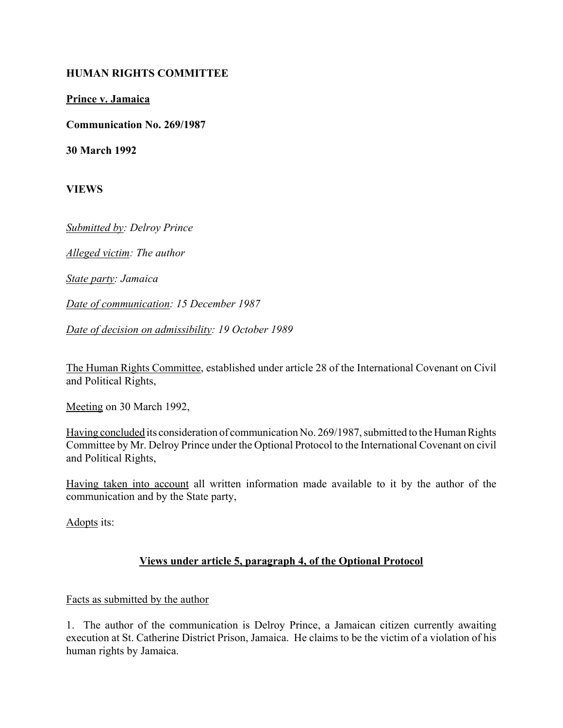#### **HUMAN RIGHTS COMMITTEE**

**Prince v. Jamaica**

**Communication No. 269/1987**

**30 March 1992**

**VIEWS**

*Submitted by: Delroy Prince*

*Alleged victim: The author*

*State party: Jamaica*

*Date of communication: 15 December 1987*

*Date of decision on admissibility: 19 October 1989*

The Human Rights Committee, established under article 28 of the International Covenant on Civil and Political Rights,

Meeting on 30 March 1992,

Having concluded its consideration of communication No. 269/1987, submitted to the Human Rights Committee by Mr. Delroy Prince under the Optional Protocol to the International Covenant on civil and Political Rights,

Having taken into account all written information made available to it by the author of the communication and by the State party,

Adopts its:

### **Views under article 5, paragraph 4, of the Optional Protocol**

#### Facts as submitted by the author

1. The author of the communication is Delroy Prince, a Jamaican citizen currently awaiting execution at St. Catherine District Prison, Jamaica. He claims to be the victim of a violation of his human rights by Jamaica.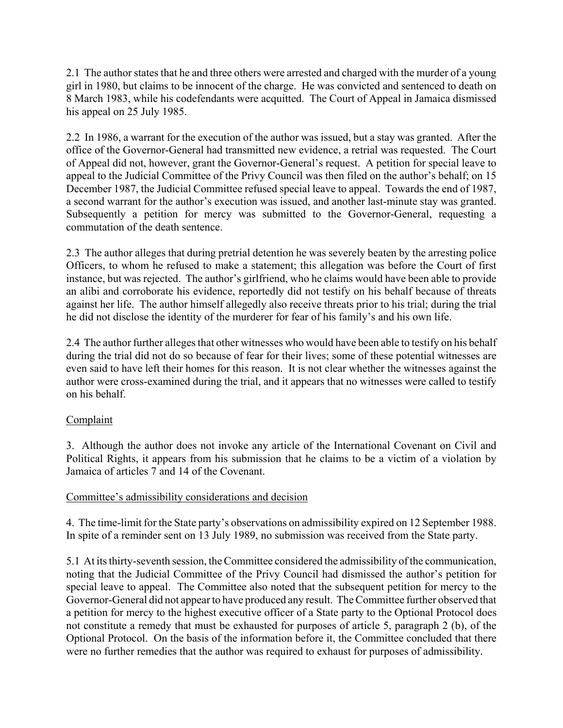2.1 The author states that he and three others were arrested and charged with the murder of a young girl in 1980, but claims to be innocent of the charge. He was convicted and sentenced to death on 8 March 1983, while his codefendants were acquitted. The Court of Appeal in Jamaica dismissed his appeal on 25 July 1985.

2.2 In 1986, a warrant for the execution of the author was issued, but a stay was granted. After the office of the Governor-General had transmitted new evidence, a retrial was requested. The Court of Appeal did not, however, grant the Governor-General's request. A petition for special leave to appeal to the Judicial Committee of the Privy Council was then filed on the author's behalf; on 15 December 1987, the Judicial Committee refused special leave to appeal. Towards the end of 1987, a second warrant for the author's execution was issued, and another last-minute stay was granted. Subsequently a petition for mercy was submitted to the Governor-General, requesting a commutation of the death sentence.

2.3 The author alleges that during pretrial detention he was severely beaten by the arresting police Officers, to whom he refused to make a statement; this allegation was before the Court of first instance, but was rejected. The author's girlfriend, who he claims would have been able to provide an alibi and corroborate his evidence, reportedly did not testify on his behalf because of threats against her life. The author himself allegedly also receive threats prior to his trial; during the trial he did not disclose the identity of the murderer for fear of his family's and his own life.

2.4 The author further alleges that other witnesses who would have been able to testify on his behalf during the trial did not do so because of fear for their lives; some of these potential witnesses are even said to have left their homes for this reason. It is not clear whether the witnesses against the author were cross-examined during the trial, and it appears that no witnesses were called to testify on his behalf.

# **Complaint**

3. Although the author does not invoke any article of the International Covenant on Civil and Political Rights, it appears from his submission that he claims to be a victim of a violation by Jamaica of articles 7 and 14 of the Covenant.

### Committee's admissibility considerations and decision

4. The time-limit for the State party's observations on admissibility expired on 12 September 1988. In spite of a reminder sent on 13 July 1989, no submission was received from the State party.

5.1 At its thirty-seventh session, the Committee considered the admissibility of the communication, noting that the Judicial Committee of the Privy Council had dismissed the author's petition for special leave to appeal. The Committee also noted that the subsequent petition for mercy to the Governor-General did not appear to have produced any result. The Committee further observed that a petition for mercy to the highest executive officer of a State party to the Optional Protocol does not constitute a remedy that must be exhausted for purposes of article 5, paragraph 2 (b), of the Optional Protocol. On the basis of the information before it, the Committee concluded that there were no further remedies that the author was required to exhaust for purposes of admissibility.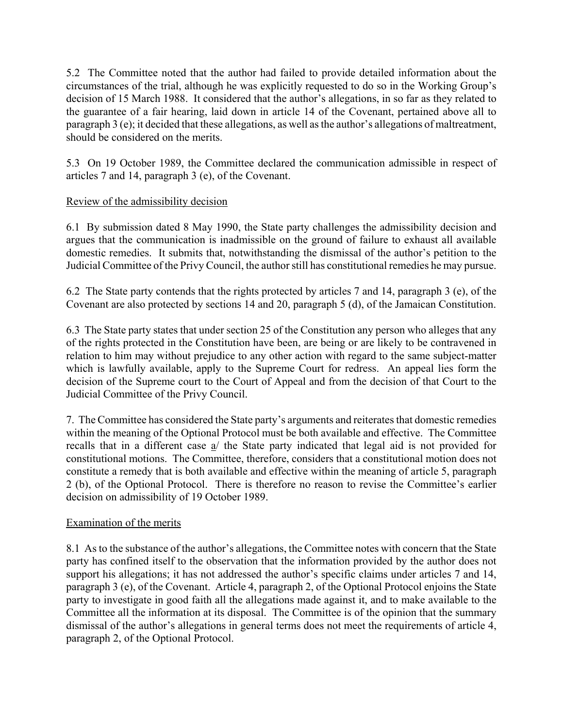5.2 The Committee noted that the author had failed to provide detailed information about the circumstances of the trial, although he was explicitly requested to do so in the Working Group's decision of 15 March 1988. It considered that the author's allegations, in so far as they related to the guarantee of a fair hearing, laid down in article 14 of the Covenant, pertained above all to paragraph  $3$  (e); it decided that these allegations, as well as the author's allegations of maltreatment, should be considered on the merits.

5.3 On 19 October 1989, the Committee declared the communication admissible in respect of articles 7 and 14, paragraph 3 (e), of the Covenant.

## Review of the admissibility decision

6.1 By submission dated 8 May 1990, the State party challenges the admissibility decision and argues that the communication is inadmissible on the ground of failure to exhaust all available domestic remedies. It submits that, notwithstanding the dismissal of the author's petition to the Judicial Committee of the Privy Council, the author still has constitutional remedies he may pursue.

6.2 The State party contends that the rights protected by articles 7 and 14, paragraph 3 (e), of the Covenant are also protected by sections 14 and 20, paragraph 5 (d), of the Jamaican Constitution.

6.3 The State party states that under section 25 of the Constitution any person who alleges that any of the rights protected in the Constitution have been, are being or are likely to be contravened in relation to him may without prejudice to any other action with regard to the same subject-matter which is lawfully available, apply to the Supreme Court for redress. An appeal lies form the decision of the Supreme court to the Court of Appeal and from the decision of that Court to the Judicial Committee of the Privy Council.

7. The Committee has considered the State partyís arguments and reiterates that domestic remedies within the meaning of the Optional Protocol must be both available and effective. The Committee recalls that in a different case a/ the State party indicated that legal aid is not provided for constitutional motions. The Committee, therefore, considers that a constitutional motion does not constitute a remedy that is both available and effective within the meaning of article 5, paragraph 2 (b), of the Optional Protocol. There is therefore no reason to revise the Committee's earlier decision on admissibility of 19 October 1989.

### Examination of the merits

8.1 As to the substance of the author's allegations, the Committee notes with concern that the State party has confined itself to the observation that the information provided by the author does not support his allegations; it has not addressed the author's specific claims under articles 7 and 14, paragraph 3 (e), of the Covenant. Article 4, paragraph 2, of the Optional Protocol enjoins the State party to investigate in good faith all the allegations made against it, and to make available to the Committee all the information at its disposal. The Committee is of the opinion that the summary dismissal of the author's allegations in general terms does not meet the requirements of article 4, paragraph 2, of the Optional Protocol.